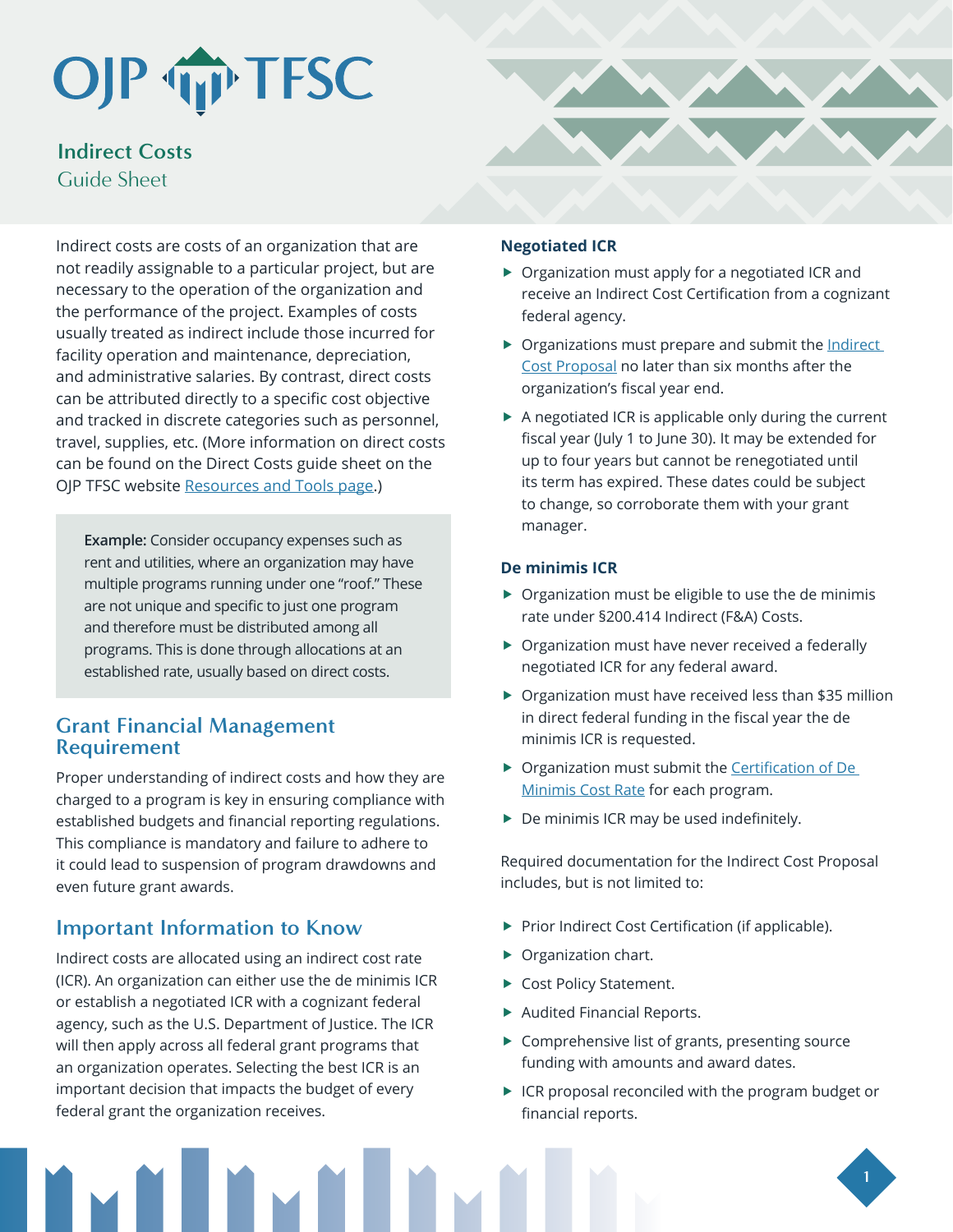## OJP TP TFSC

## **Indirect Costs** Guide Sheet

Indirect costs are costs of an organization that are not readily assignable to a particular project, but are necessary to the operation of the organization and the performance of the project. Examples of costs usually treated as indirect include those incurred for facility operation and maintenance, depreciation, and administrative salaries. By contrast, direct costs can be attributed directly to a specific cost objective and tracked in discrete categories such as personnel, travel, supplies, etc. (More information on direct costs can be found on the Direct Costs guide sheet on the OJP TFSC website [Resources and Tools page.](https://www.ojp.gov/training-and-technical-assistance/tfsc/resources))

**Example:** Consider occupancy expenses such as rent and utilities, where an organization may have multiple programs running under one "roof." These are not unique and specific to just one program and therefore must be distributed among all programs. This is done through allocations at an established rate, usually based on direct costs.

### **Grant Financial Management Requirement**

Proper understanding of indirect costs and how they are charged to a program is key in ensuring compliance with established budgets and financial reporting regulations. This compliance is mandatory and failure to adhere to it could lead to suspension of program drawdowns and even future grant awards.

## **Important Information to Know**

Indirect costs are allocated using an indirect cost rate (ICR). An organization can either use the de minimis ICR or establish a negotiated ICR with a cognizant federal agency, such as the U.S. Department of Justice. The ICR will then apply across all federal grant programs that an organization operates. Selecting the best ICR is an important decision that impacts the budget of every federal grant the organization receives.



#### **Negotiated ICR**

- $\triangleright$  Organization must apply for a negotiated ICR and receive an Indirect Cost Certification from a cognizant federal agency.
- $\triangleright$  Organizations must prepare and submit the Indirect [Cost Proposal](https://www.ojp.gov/sites/g/files/xyckuh241/files/media/document/indirectcosts.pdf) no later than six months after the organization's fiscal year end.
- $\blacktriangleright$  A negotiated ICR is applicable only during the current fiscal year (July 1 to June 30). It may be extended for up to four years but cannot be renegotiated until its term has expired. These dates could be subject to change, so corroborate them with your grant manager.

#### **De minimis ICR**

- $\triangleright$  Organization must be eligible to use the de minimis rate under §200.414 Indirect (F&A) Costs.
- $\triangleright$  Organization must have never received a federally negotiated ICR for any federal award.
- $\triangleright$  Organization must have received less than \$35 million in direct federal funding in the fiscal year the de minimis ICR is requested.
- **F** Organization must submit the Certification of De [Minimis Cost Rate](https://www.ojp.gov/sites/g/files/xyckuh241/files/media/document/idccertification.pdf) for each program.
- $\triangleright$  De minimis ICR may be used indefinitely.

Required documentation for the Indirect Cost Proposal includes, but is not limited to:

- $\blacktriangleright$  Prior Indirect Cost Certification (if applicable).
- $\triangleright$  Organization chart.
- ▶ Cost Policy Statement.
- $\blacktriangleright$  Audited Financial Reports.
- $\blacktriangleright$  Comprehensive list of grants, presenting source funding with amounts and award dates.
- $\blacktriangleright$  ICR proposal reconciled with the program budget or financial reports.

**1**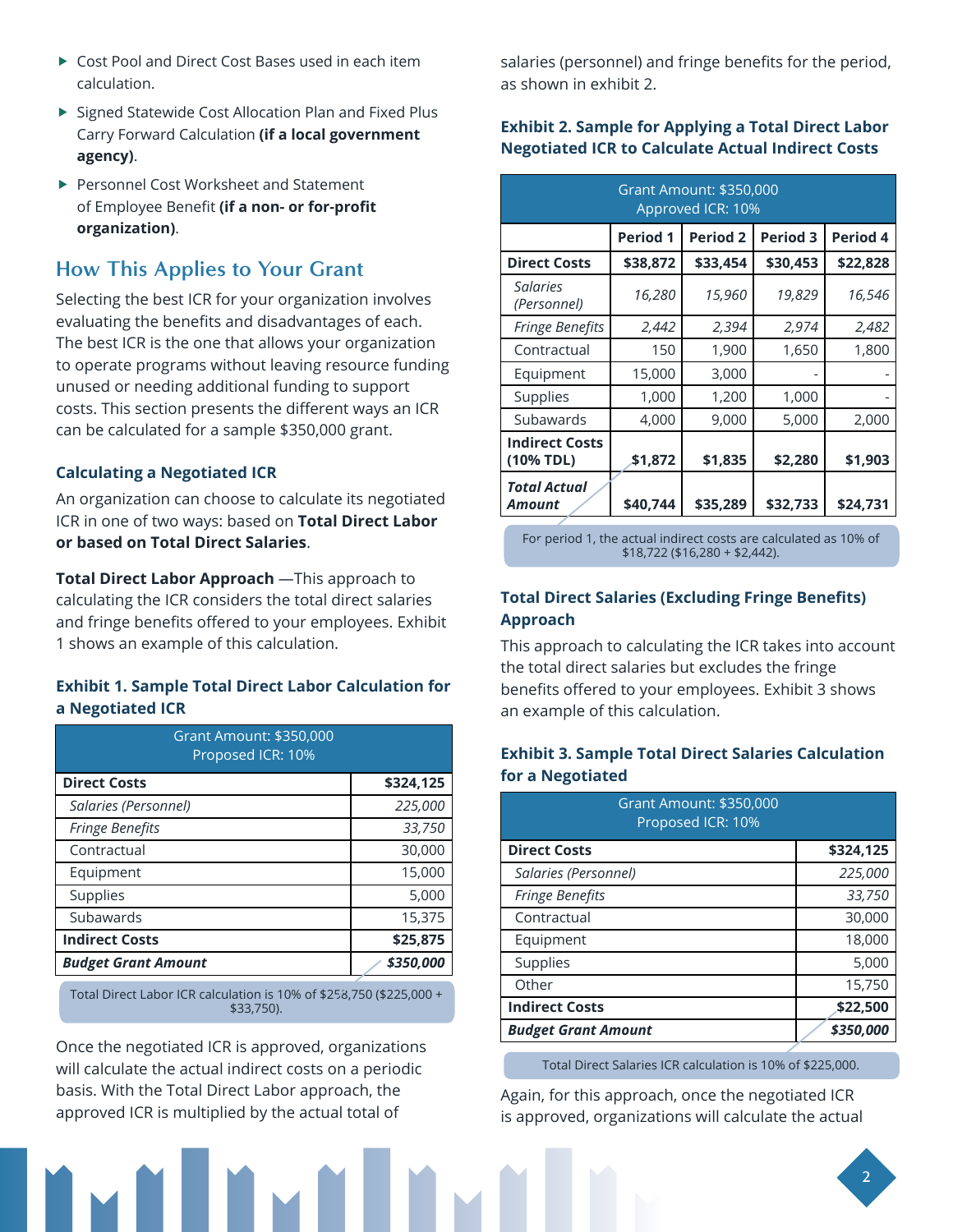- ▶ Cost Pool and Direct Cost Bases used in each item calculation.
- ▶ Signed Statewide Cost Allocation Plan and Fixed Plus Carry Forward Calculation **(if a local government agency)**.
- ▶ Personnel Cost Worksheet and Statement of Employee Benefit **(if a non- or for-profit organization)**.

## **How This Applies to Your Grant**

Selecting the best ICR for your organization involves evaluating the benefits and disadvantages of each. The best ICR is the one that allows your organization to operate programs without leaving resource funding unused or needing additional funding to support costs. This section presents the different ways an ICR can be calculated for a sample \$350,000 grant.

#### **Calculating a Negotiated ICR**

An organization can choose to calculate its negotiated ICR in one of two ways: based on **Total Direct Labor or based on Total Direct Salaries**.

**Total Direct Labor Approach** —This approach to calculating the ICR considers the total direct salaries and fringe benefits offered to your employees. Exhibit 1 shows an example of this calculation.

#### **Exhibit 1. Sample Total Direct Labor Calculation for a Negotiated ICR**

| Grant Amount: \$350,000<br>Proposed ICR: 10% |           |
|----------------------------------------------|-----------|
| <b>Direct Costs</b>                          | \$324,125 |
| Salaries (Personnel)                         | 225,000   |
| <b>Fringe Benefits</b>                       | 33,750    |
| Contractual                                  | 30,000    |
| Equipment                                    | 15,000    |
| Supplies                                     | 5,000     |
| Subawards                                    | 15,375    |
| <b>Indirect Costs</b>                        | \$25,875  |
| <b>Budget Grant Amount</b>                   | \$350,000 |

Total Direct Labor ICR calculation is 10% of \$258,750 (\$225,000 + \$33,750).

Once the negotiated ICR is approved, organizations will calculate the actual indirect costs on a periodic basis. With the Total Direct Labor approach, the approved ICR is multiplied by the actual total of

salaries (personnel) and fringe benefits for the period, as shown in exhibit 2.

#### **Exhibit 2. Sample for Applying a Total Direct Labor Negotiated ICR to Calculate Actual Indirect Costs**

| Grant Amount: \$350,000<br>Approved ICR: 10% |                 |                 |                 |          |
|----------------------------------------------|-----------------|-----------------|-----------------|----------|
|                                              | <b>Period 1</b> | <b>Period 2</b> | <b>Period 3</b> | Period 4 |
| <b>Direct Costs</b>                          | \$38,872        | \$33,454        | \$30,453        | \$22,828 |
| Salaries<br>(Personnel)                      | 16,280          | 15,960          | 19,829          | 16,546   |
| <b>Fringe Benefits</b>                       | 2,442           | 2,394           | 2,974           | 2,482    |
| Contractual                                  | 150             | 1,900           | 1,650           | 1,800    |
| Equipment                                    | 15,000          | 3,000           |                 |          |
| Supplies                                     | 1,000           | 1,200           | 1,000           |          |
| Subawards                                    | 4,000           | 9,000           | 5,000           | 2,000    |
| <b>Indirect Costs</b><br>(10% TDL)           | \$1,872         | \$1,835         | \$2,280         | \$1,903  |
| Total Actual<br>Amount                       | \$40,744        | \$35,289        | \$32,733        | \$24,731 |

For period 1, the actual indirect costs are calculated as 10% of \$18,722 (\$16,280 + \$2,442).

#### **Total Direct Salaries (Excluding Fringe Benefits) Approach**

This approach to calculating the ICR takes into account the total direct salaries but excludes the fringe benefits offered to your employees. Exhibit 3 shows an example of this calculation.

#### **Exhibit 3. Sample Total Direct Salaries Calculation for a Negotiated**

| Grant Amount: \$350,000<br>Proposed ICR: 10% |           |
|----------------------------------------------|-----------|
| <b>Direct Costs</b>                          | \$324,125 |
| Salaries (Personnel)                         | 225,000   |
| <b>Fringe Benefits</b>                       | 33,750    |
| Contractual                                  | 30,000    |
| Equipment                                    | 18,000    |
| Supplies                                     | 5,000     |
| Other                                        | 15,750    |
| <b>Indirect Costs</b>                        | \$22,500  |
| <b>Budget Grant Amount</b>                   | \$350,000 |

Total Direct Salaries ICR calculation is 10% of \$225,000.

Again, for this approach, once the negotiated ICR is approved, organizations will calculate the actual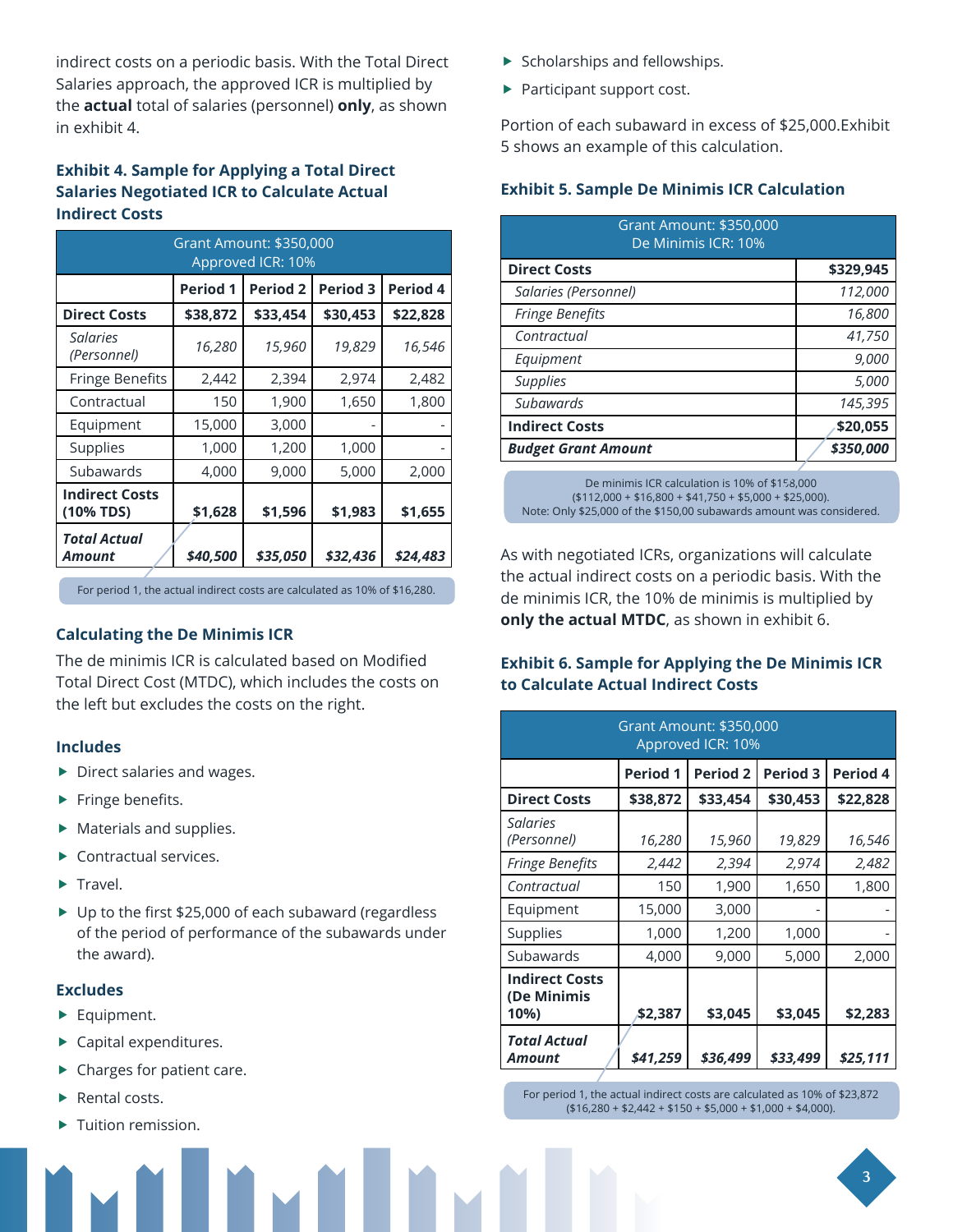indirect costs on a periodic basis. With the Total Direct Salaries approach, the approved ICR is multiplied by the **actual** total of salaries (personnel) **only**, as shown in exhibit 4.

#### **Exhibit 4. Sample for Applying a Total Direct Salaries Negotiated ICR to Calculate Actual Indirect Costs**

| Grant Amount: \$350,000<br>Approved ICR: 10% |                 |                 |                 |          |
|----------------------------------------------|-----------------|-----------------|-----------------|----------|
|                                              | <b>Period 1</b> | <b>Period 2</b> | <b>Period 3</b> | Period 4 |
| <b>Direct Costs</b>                          | \$38,872        | \$33,454        | \$30,453        | \$22,828 |
| Salaries<br>(Personnel)                      | 16,280          | 15,960          | 19,829          | 16,546   |
| <b>Fringe Benefits</b>                       | 2,442           | 2,394           | 2,974           | 2,482    |
| Contractual                                  | 150             | 1,900           | 1,650           | 1,800    |
| Equipment                                    | 15,000          | 3,000           |                 |          |
| Supplies                                     | 1,000           | 1,200           | 1,000           |          |
| Subawards                                    | 4,000           | 9,000           | 5,000           | 2,000    |
| <b>Indirect Costs</b><br>(10% TDS)           | \$1,628         | \$1,596         | \$1,983         | \$1,655  |
| Total Actual<br>Amount                       | \$40,500        | \$35,050        | \$32,436        | \$24,483 |

For period 1, the actual indirect costs are calculated as 10% of \$16,280.

#### **Calculating the De Minimis ICR**

The de minimis ICR is calculated based on Modified Total Direct Cost (MTDC), which includes the costs on the left but excludes the costs on the right.

#### **Includes**

- $\triangleright$  Direct salaries and wages.
- $\blacktriangleright$  Fringe benefits.
- $\blacktriangleright$  Materials and supplies.
- $\blacktriangleright$  Contractual services.
- $\blacktriangleright$  Travel.
- ▶ Up to the first \$25,000 of each subaward (regardless of the period of performance of the subawards under the award).

#### **Excludes**

- $\blacktriangleright$  Equipment.
- $\blacktriangleright$  Capital expenditures.
- $\blacktriangleright$  Charges for patient care.
- $\blacktriangleright$  Rental costs.
- Tuition remission.
- $\blacktriangleright$  Scholarships and fellowships.
- $\blacktriangleright$  Participant support cost.

Portion of each subaward in excess of \$25,000.Exhibit 5 shows an example of this calculation.

#### **Exhibit 5. Sample De Minimis ICR Calculation**

| \$329,945 |
|-----------|
| 112,000   |
| 16,800    |
| 41,750    |
| 9,000     |
| 5,000     |
| 145,395   |
| \$20,055  |
| \$350,000 |
|           |

De minimis ICR calculation is 10% of \$158,000 (\$112,000 + \$16,800 + \$41,750 + \$5,000 + \$25,000). Note: Only \$25,000 of the \$150,00 subawards amount was considered.

As with negotiated ICRs, organizations will calculate the actual indirect costs on a periodic basis. With the de minimis ICR, the 10% de minimis is multiplied by **only the actual MTDC**, as shown in exhibit 6.

#### **Exhibit 6. Sample for Applying the De Minimis ICR to Calculate Actual Indirect Costs**

| Grant Amount: \$350,000<br>Approved ICR: 10% |                 |                 |                 |          |
|----------------------------------------------|-----------------|-----------------|-----------------|----------|
|                                              | <b>Period 1</b> | <b>Period 2</b> | <b>Period 3</b> | Period 4 |
| <b>Direct Costs</b>                          | \$38,872        | \$33,454        | \$30,453        | \$22,828 |
| <b>Salaries</b><br>(Personnel)               | 16,280          | 15,960          | 19,829          | 16,546   |
| <b>Fringe Benefits</b>                       | 2,442           | 2,394           | 2,974           | 2,482    |
| Contractual                                  | 150             | 1,900           | 1,650           | 1,800    |
| Equipment                                    | 15,000          | 3,000           |                 |          |
| Supplies                                     | 1,000           | 1,200           | 1,000           |          |
| Subawards                                    | 4,000           | 9,000           | 5,000           | 2,000    |
| <b>Indirect Costs</b><br>(De Minimis<br>10%) | \$2,387         | \$3,045         | \$3,045         | \$2,283  |
| Total Actual<br>Amount                       | \$41,259        | \$36,499        | \$33,499        | \$25,111 |

For period 1, the actual indirect costs are calculated as 10% of \$23,872  $($16,280 + $2,442 + $150 + $5,000 + $1,000 + $4,000).$